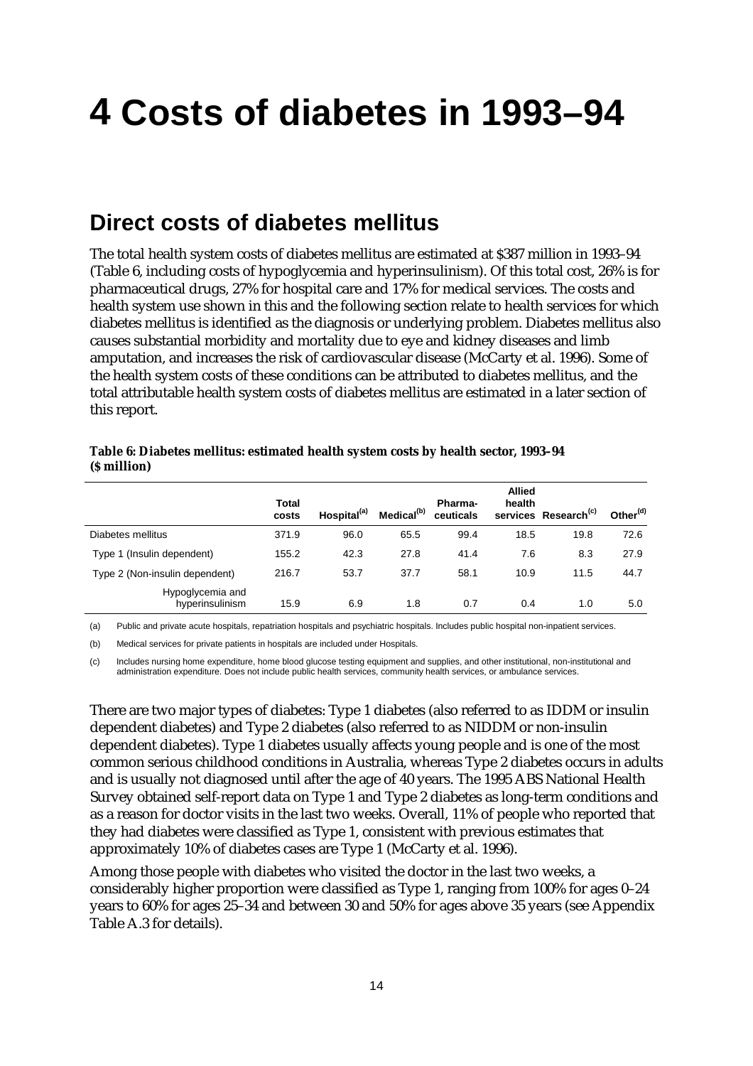# **4 Costs of diabetes in 1993–94**

# **Direct costs of diabetes mellitus**

The total health system costs of diabetes mellitus are estimated at \$387 million in 1993–94 (Table 6, including costs of hypoglycemia and hyperinsulinism). Of this total cost, 26% is for pharmaceutical drugs, 27% for hospital care and 17% for medical services. The costs and health system use shown in this and the following section relate to health services for which diabetes mellitus is identified as the diagnosis or underlying problem. Diabetes mellitus also causes substantial morbidity and mortality due to eye and kidney diseases and limb amputation, and increases the risk of cardiovascular disease (McCarty et al. 1996). Some of the health system costs of these conditions can be attributed to diabetes mellitus, and the total attributable health system costs of diabetes mellitus are estimated in a later section of this report.

| Table 6: Diabetes mellitus: estimated health system costs by health sector, 1993-94 |  |
|-------------------------------------------------------------------------------------|--|
| (\$ million)                                                                        |  |

|                                     | Total<br>costs | Hospital <sup>(a)</sup> | Medical <sup>(b)</sup> | <b>Pharma-</b><br>ceuticals | <b>Allied</b><br>health | services Research <sup>(c)</sup> | Other <sup>(d)</sup> |
|-------------------------------------|----------------|-------------------------|------------------------|-----------------------------|-------------------------|----------------------------------|----------------------|
| Diabetes mellitus                   | 371.9          | 96.0                    | 65.5                   | 99.4                        | 18.5                    | 19.8                             | 72.6                 |
| Type 1 (Insulin dependent)          | 155.2          | 42.3                    | 27.8                   | 41.4                        | 7.6                     | 8.3                              | 27.9                 |
| Type 2 (Non-insulin dependent)      | 216.7          | 53.7                    | 37.7                   | 58.1                        | 10.9                    | 11.5                             | 44.7                 |
| Hypoglycemia and<br>hyperinsulinism | 15.9           | 6.9                     | 1.8                    | 0.7                         | 0.4                     | 1.0                              | 5.0                  |

(a) Public and private acute hospitals, repatriation hospitals and psychiatric hospitals. Includes public hospital non-inpatient services.

(b) Medical services for private patients in hospitals are included under Hospitals.

(c) Includes nursing home expenditure, home blood glucose testing equipment and supplies, and other institutional, non-institutional and administration expenditure. Does not include public health services, community health services, or ambulance services.

There are two major types of diabetes: Type 1 diabetes (also referred to as IDDM or insulin dependent diabetes) and Type 2 diabetes (also referred to as NIDDM or non-insulin dependent diabetes). Type 1 diabetes usually affects young people and is one of the most common serious childhood conditions in Australia, whereas Type 2 diabetes occurs in adults and is usually not diagnosed until after the age of 40 years. The 1995 ABS National Health Survey obtained self-report data on Type 1 and Type 2 diabetes as long-term conditions and as a reason for doctor visits in the last two weeks. Overall, 11% of people who reported that they had diabetes were classified as Type 1, consistent with previous estimates that approximately 10% of diabetes cases are Type 1 (McCarty et al. 1996).

Among those people with diabetes who visited the doctor in the last two weeks, a considerably higher proportion were classified as Type 1, ranging from 100% for ages 0–24 years to 60% for ages 25–34 and between 30 and 50% for ages above 35 years (see Appendix Table A.3 for details).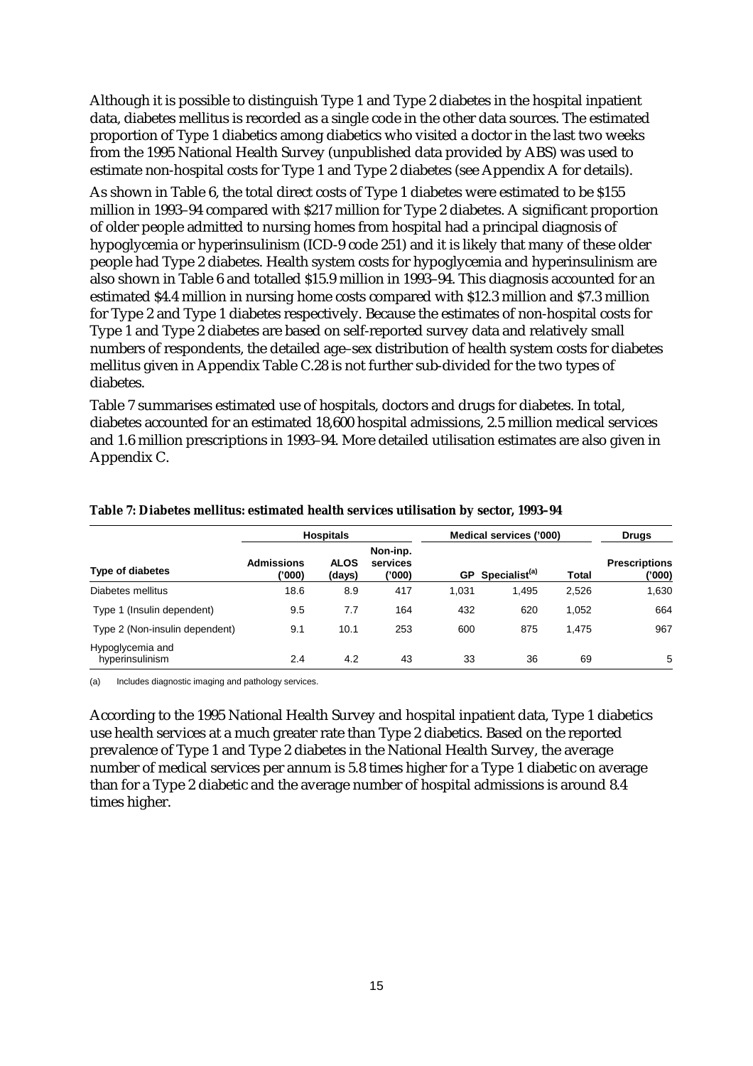Although it is possible to distinguish Type 1 and Type 2 diabetes in the hospital inpatient data, diabetes mellitus is recorded as a single code in the other data sources. The estimated proportion of Type 1 diabetics among diabetics who visited a doctor in the last two weeks from the 1995 National Health Survey (unpublished data provided by ABS) was used to estimate non-hospital costs for Type 1 and Type 2 diabetes (see Appendix A for details).

As shown in Table 6, the total direct costs of Type 1 diabetes were estimated to be \$155 million in 1993–94 compared with \$217 million for Type 2 diabetes. A significant proportion of older people admitted to nursing homes from hospital had a principal diagnosis of hypoglycemia or hyperinsulinism (ICD-9 code 251) and it is likely that many of these older people had Type 2 diabetes. Health system costs for hypoglycemia and hyperinsulinism are also shown in Table 6 and totalled \$15.9 million in 1993–94. This diagnosis accounted for an estimated \$4.4 million in nursing home costs compared with \$12.3 million and \$7.3 million for Type 2 and Type 1 diabetes respectively. Because the estimates of non-hospital costs for Type 1 and Type 2 diabetes are based on self-reported survey data and relatively small numbers of respondents, the detailed age–sex distribution of health system costs for diabetes mellitus given in Appendix Table C.28 is not further sub-divided for the two types of diabetes.

Table 7 summarises estimated use of hospitals, doctors and drugs for diabetes. In total, diabetes accounted for an estimated 18,600 hospital admissions, 2.5 million medical services and 1.6 million prescriptions in 1993–94. More detailed utilisation estimates are also given in Appendix C.

|                                     | <b>Hospitals</b>           |                       |                                | Medical services ('000) |                           |              | <b>Drugs</b>                   |  |
|-------------------------------------|----------------------------|-----------------------|--------------------------------|-------------------------|---------------------------|--------------|--------------------------------|--|
| <b>Type of diabetes</b>             | <b>Admissions</b><br>'000) | <b>ALOS</b><br>(days) | Non-inp.<br>services<br>('000) | GP                      | Specialist <sup>(a)</sup> | <b>Total</b> | <b>Prescriptions</b><br>('000' |  |
| Diabetes mellitus                   | 18.6                       | 8.9                   | 417                            | 1.031                   | 1.495                     | 2,526        | 1,630                          |  |
| Type 1 (Insulin dependent)          | 9.5                        | 7.7                   | 164                            | 432                     | 620                       | 1,052        | 664                            |  |
| Type 2 (Non-insulin dependent)      | 9.1                        | 10.1                  | 253                            | 600                     | 875                       | 1.475        | 967                            |  |
| Hypoglycemia and<br>hyperinsulinism | 2.4                        | 4.2                   | 43                             | 33                      | 36                        | 69           | 5                              |  |

#### **Table 7: Diabetes mellitus: estimated health services utilisation by sector, 1993–94**

(a) Includes diagnostic imaging and pathology services.

According to the 1995 National Health Survey and hospital inpatient data, Type 1 diabetics use health services at a much greater rate than Type 2 diabetics. Based on the reported prevalence of Type 1 and Type 2 diabetes in the National Health Survey, the average number of medical services per annum is 5.8 times higher for a Type 1 diabetic on average than for a Type 2 diabetic and the average number of hospital admissions is around 8.4 times higher.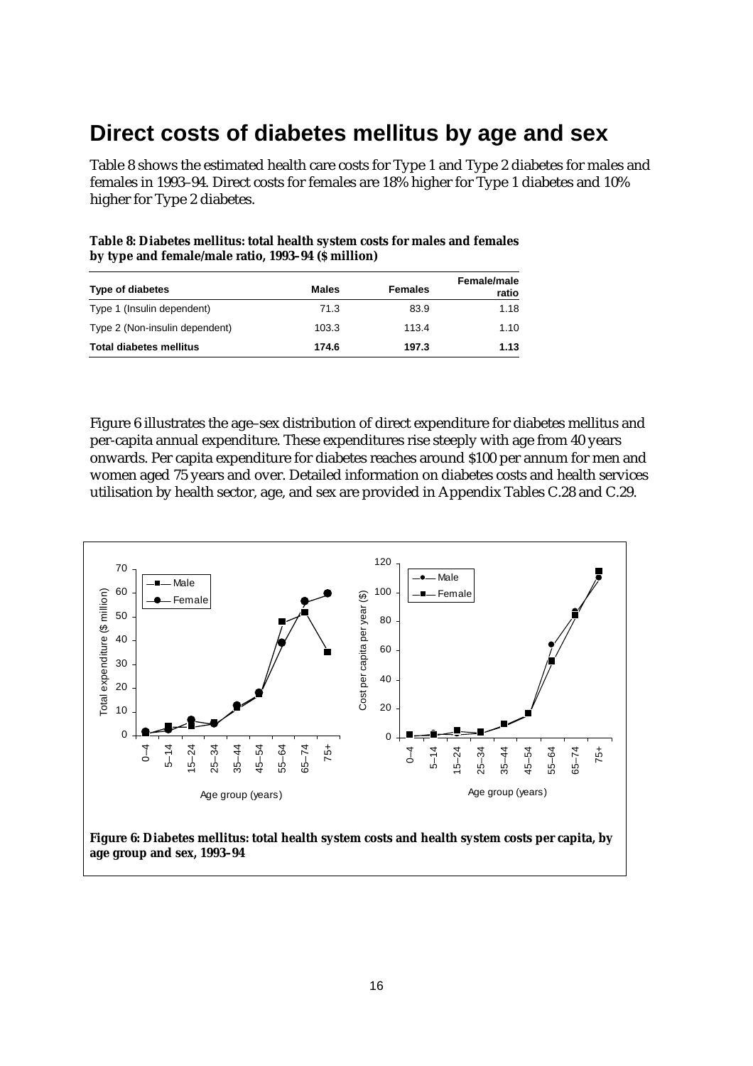### **Direct costs of diabetes mellitus by age and sex**

Table 8 shows the estimated health care costs for Type 1 and Type 2 diabetes for males and females in 1993–94. Direct costs for females are 18% higher for Type 1 diabetes and 10% higher for Type 2 diabetes.

| by type and female/male ratio, 1993-94 (\$ million) |              |                |                             |  |  |
|-----------------------------------------------------|--------------|----------------|-----------------------------|--|--|
| Type of diabetes                                    | <b>Males</b> | <b>Females</b> | <b>Female/male</b><br>----- |  |  |

**Table 8: Diabetes mellitus: total health system costs for males and females**

| Type of diabetes               | <b>Males</b> | <b>Females</b> | <b>Female/male</b><br>ratio |
|--------------------------------|--------------|----------------|-----------------------------|
| Type 1 (Insulin dependent)     | 71.3         | 83.9           | 1.18                        |
| Type 2 (Non-insulin dependent) | 103.3        | 113.4          | 1.10                        |
| <b>Total diabetes mellitus</b> | 174.6        | 197.3          | 1.13                        |

Figure 6 illustrates the age–sex distribution of direct expenditure for diabetes mellitus and per-capita annual expenditure. These expenditures rise steeply with age from 40 years onwards. Per capita expenditure for diabetes reaches around \$100 per annum for men and women aged 75 years and over. Detailed information on diabetes costs and health services utilisation by health sector, age, and sex are provided in Appendix Tables C.28 and C.29.



**age group and sex, 1993–94**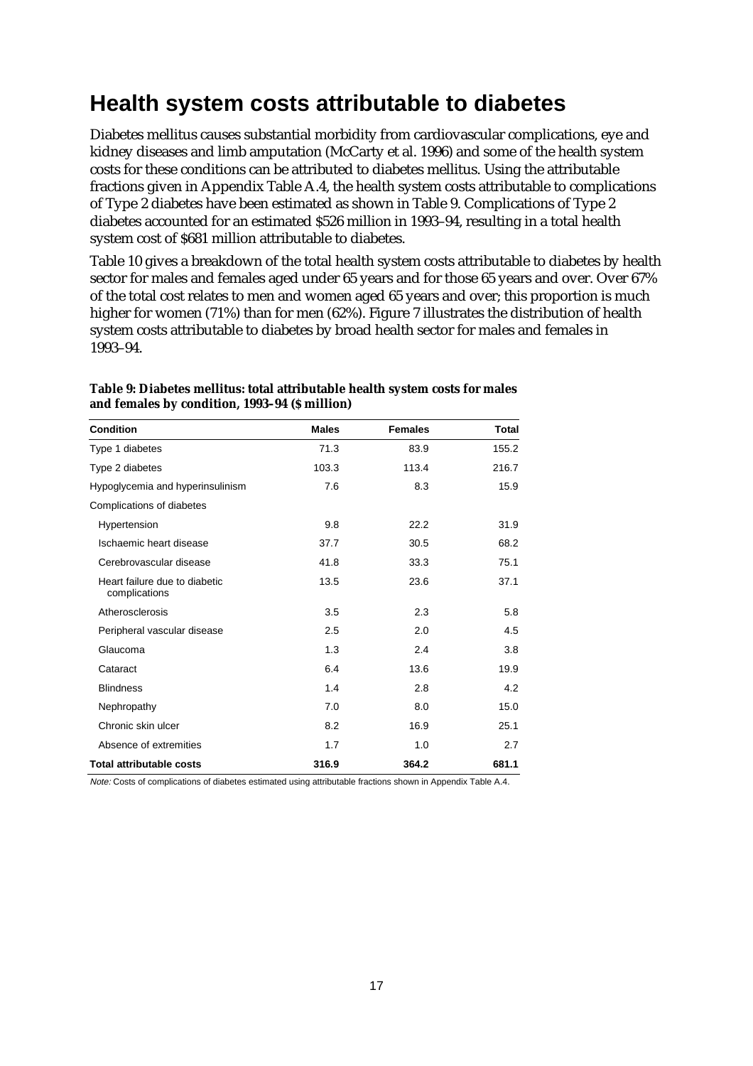# **Health system costs attributable to diabetes**

Diabetes mellitus causes substantial morbidity from cardiovascular complications, eye and kidney diseases and limb amputation (McCarty et al. 1996) and some of the health system costs for these conditions can be attributed to diabetes mellitus. Using the attributable fractions given in Appendix Table A.4, the health system costs attributable to complications of Type 2 diabetes have been estimated as shown in Table 9. Complications of Type 2 diabetes accounted for an estimated \$526 million in 1993–94, resulting in a total health system cost of \$681 million attributable to diabetes.

Table 10 gives a breakdown of the total health system costs attributable to diabetes by health sector for males and females aged under 65 years and for those 65 years and over. Over 67% of the total cost relates to men and women aged 65 years and over; this proportion is much higher for women (71%) than for men (62%). Figure 7 illustrates the distribution of health system costs attributable to diabetes by broad health sector for males and females in 1993–94.

| <b>Condition</b>                               | <b>Males</b> | <b>Females</b> | Total |
|------------------------------------------------|--------------|----------------|-------|
| Type 1 diabetes                                | 71.3         | 83.9           | 155.2 |
| Type 2 diabetes                                | 103.3        | 113.4          | 216.7 |
| Hypoglycemia and hyperinsulinism               | 7.6          | 8.3            | 15.9  |
| Complications of diabetes                      |              |                |       |
| Hypertension                                   | 9.8          | 22.2           | 31.9  |
| Ischaemic heart disease                        | 37.7         | 30.5           | 68.2  |
| Cerebrovascular disease                        | 41.8         | 33.3           | 75.1  |
| Heart failure due to diabetic<br>complications | 13.5         | 23.6           | 37.1  |
| Atherosclerosis                                | 3.5          | 2.3            | 5.8   |
| Peripheral vascular disease                    | 2.5          | 2.0            | 4.5   |
| Glaucoma                                       | 1.3          | 2.4            | 3.8   |
| Cataract                                       | 6.4          | 13.6           | 19.9  |
| <b>Blindness</b>                               | 1.4          | 2.8            | 4.2   |
| Nephropathy                                    | 7.0          | 8.0            | 15.0  |
| Chronic skin ulcer                             | 8.2          | 16.9           | 25.1  |
| Absence of extremities                         | 1.7          | 1.0            | 2.7   |
| <b>Total attributable costs</b>                | 316.9        | 364.2          | 681.1 |

#### **Table 9: Diabetes mellitus: total attributable health system costs for males and females by condition, 1993–94 (\$ million)**

Note: Costs of complications of diabetes estimated using attributable fractions shown in Appendix Table A.4.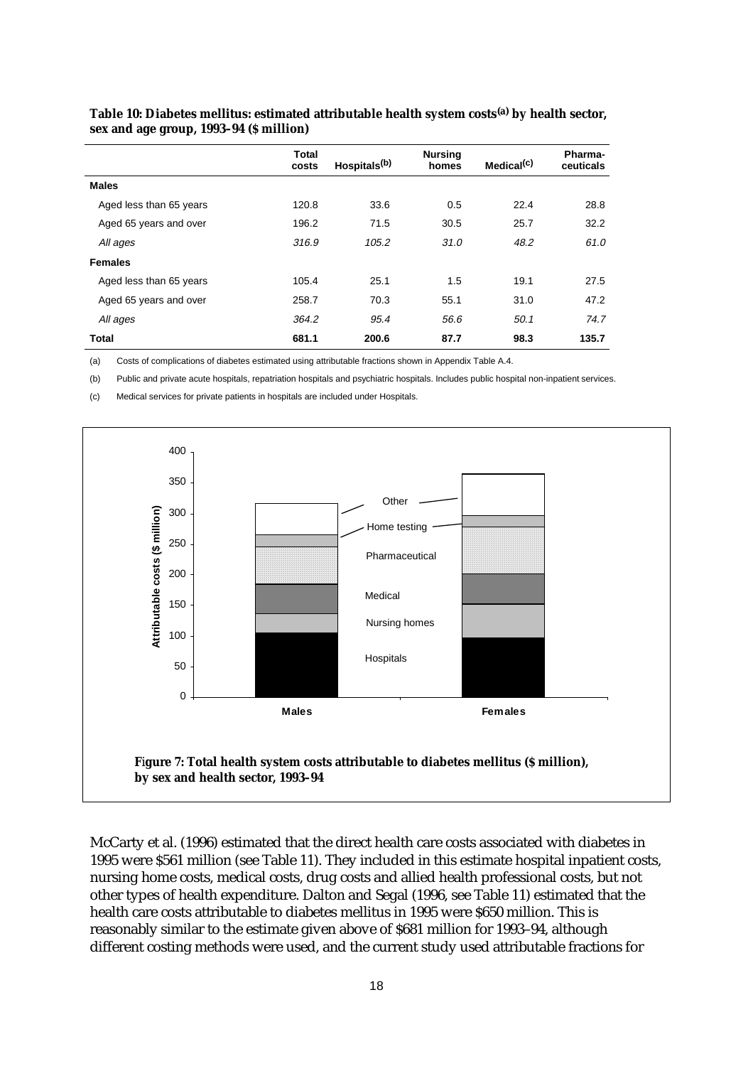|                         | <b>Total</b><br>costs | Hospitals <sup>(b)</sup> | <b>Nursing</b><br>homes | Medical <sup>(c)</sup> | Pharma-<br>ceuticals |
|-------------------------|-----------------------|--------------------------|-------------------------|------------------------|----------------------|
| <b>Males</b>            |                       |                          |                         |                        |                      |
| Aged less than 65 years | 120.8                 | 33.6                     | 0.5                     | 22.4                   | 28.8                 |
| Aged 65 years and over  | 196.2                 | 71.5                     | 30.5                    | 25.7                   | 32.2                 |
| All ages                | 316.9                 | 105.2                    | 31.0                    | 48.2                   | 61.0                 |
| <b>Females</b>          |                       |                          |                         |                        |                      |
| Aged less than 65 years | 105.4                 | 25.1                     | 1.5                     | 19.1                   | 27.5                 |
| Aged 65 years and over  | 258.7                 | 70.3                     | 55.1                    | 31.0                   | 47.2                 |
| All ages                | 364.2                 | 95.4                     | 56.6                    | 50.1                   | 74.7                 |
| <b>Total</b>            | 681.1                 | 200.6                    | 87.7                    | 98.3                   | 135.7                |

#### **Table 10: Diabetes mellitus: estimated attributable health system costs(a) by health sector, sex and age group, 1993–94 (\$ million)**

(a) Costs of complications of diabetes estimated using attributable fractions shown in Appendix Table A.4.

(b) Public and private acute hospitals, repatriation hospitals and psychiatric hospitals. Includes public hospital non-inpatient services.

(c) Medical services for private patients in hospitals are included under Hospitals.



McCarty et al. (1996) estimated that the direct health care costs associated with diabetes in 1995 were \$561 million (see Table 11). They included in this estimate hospital inpatient costs, nursing home costs, medical costs, drug costs and allied health professional costs, but not other types of health expenditure. Dalton and Segal (1996, see Table 11) estimated that the health care costs attributable to diabetes mellitus in 1995 were \$650 million. This is reasonably similar to the estimate given above of \$681 million for 1993–94, although different costing methods were used, and the current study used attributable fractions for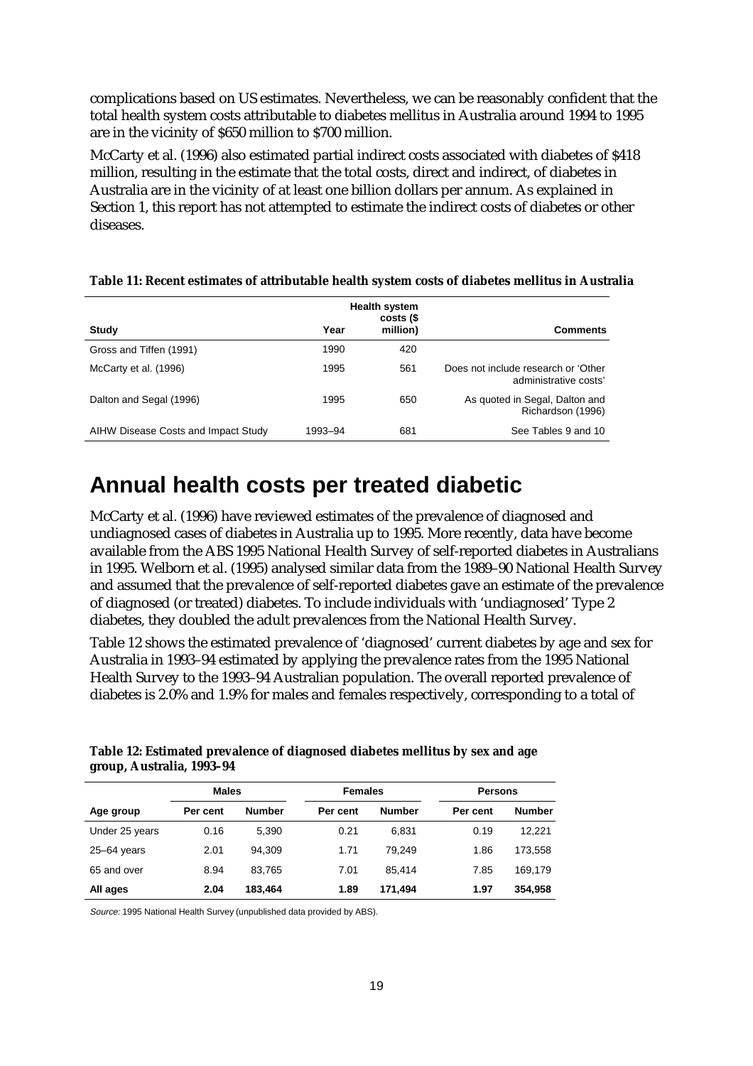complications based on US estimates. Nevertheless, we can be reasonably confident that the total health system costs attributable to diabetes mellitus in Australia around 1994 to 1995 are in the vicinity of \$650 million to \$700 million.

McCarty et al. (1996) also estimated partial indirect costs associated with diabetes of \$418 million, resulting in the estimate that the total costs, direct and indirect, of diabetes in Australia are in the vicinity of at least one billion dollars per annum. As explained in Section 1, this report has not attempted to estimate the indirect costs of diabetes or other diseases.

|                                     |         | <b>Health system</b><br>costs (\$ |                                                              |
|-------------------------------------|---------|-----------------------------------|--------------------------------------------------------------|
| Study                               | Year    | million)                          | <b>Comments</b>                                              |
| Gross and Tiffen (1991)             | 1990    | 420                               |                                                              |
| McCarty et al. (1996)               | 1995    | 561                               | Does not include research or 'Other<br>administrative costs' |
| Dalton and Segal (1996)             | 1995    | 650                               | As quoted in Segal, Dalton and<br>Richardson (1996)          |
| AIHW Disease Costs and Impact Study | 1993-94 | 681                               | See Tables 9 and 10                                          |

#### **Table 11: Recent estimates of attributable health system costs of diabetes mellitus in Australia**

### **Annual health costs per treated diabetic**

McCarty et al. (1996) have reviewed estimates of the prevalence of diagnosed and undiagnosed cases of diabetes in Australia up to 1995. More recently, data have become available from the ABS 1995 National Health Survey of self-reported diabetes in Australians in 1995. Welborn et al. (1995) analysed similar data from the 1989–90 National Health Survey and assumed that the prevalence of self-reported diabetes gave an estimate of the prevalence of diagnosed (or treated) diabetes. To include individuals with 'undiagnosed' Type 2 diabetes, they doubled the adult prevalences from the National Health Survey.

Table 12 shows the estimated prevalence of 'diagnosed' current diabetes by age and sex for Australia in 1993–94 estimated by applying the prevalence rates from the 1995 National Health Survey to the 1993–94 Australian population. The overall reported prevalence of diabetes is 2.0% and 1.9% for males and females respectively, corresponding to a total of

**Table 12: Estimated prevalence of diagnosed diabetes mellitus by sex and age group, Australia, 1993–94**

|                 | <b>Males</b> |               | <b>Females</b> |               | <b>Persons</b> |               |
|-----------------|--------------|---------------|----------------|---------------|----------------|---------------|
| Age group       | Per cent     | <b>Number</b> | Per cent       | <b>Number</b> | Per cent       | <b>Number</b> |
| Under 25 years  | 0.16         | 5.390         | 0.21           | 6.831         | 0.19           | 12.221        |
| $25 - 64$ years | 2.01         | 94.309        | 1.71           | 79.249        | 1.86           | 173.558       |
| 65 and over     | 8.94         | 83.765        | 7.01           | 85.414        | 7.85           | 169.179       |
| All ages        | 2.04         | 183.464       | 1.89           | 171.494       | 1.97           | 354.958       |

Source: 1995 National Health Survey (unpublished data provided by ABS).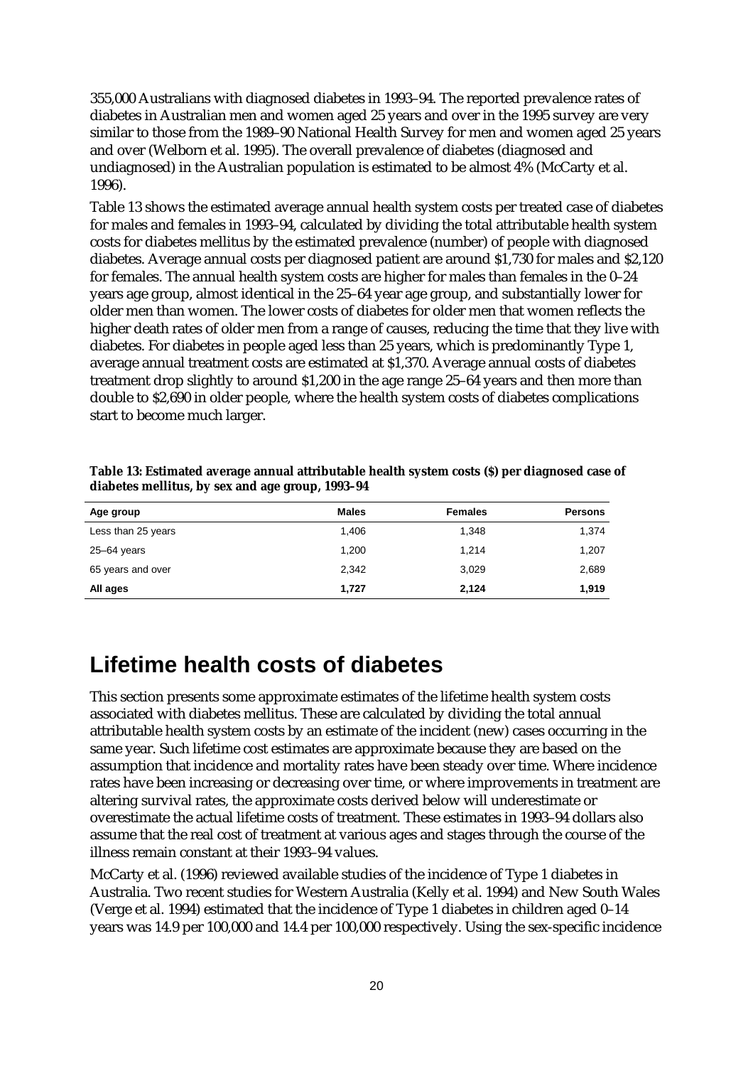355,000 Australians with diagnosed diabetes in 1993–94. The reported prevalence rates of diabetes in Australian men and women aged 25 years and over in the 1995 survey are very similar to those from the 1989–90 National Health Survey for men and women aged 25 years and over (Welborn et al. 1995). The overall prevalence of diabetes (diagnosed and undiagnosed) in the Australian population is estimated to be almost 4% (McCarty et al. 1996).

Table 13 shows the estimated average annual health system costs per treated case of diabetes for males and females in 1993–94, calculated by dividing the total attributable health system costs for diabetes mellitus by the estimated prevalence (number) of people with diagnosed diabetes. Average annual costs per diagnosed patient are around \$1,730 for males and \$2,120 for females. The annual health system costs are higher for males than females in the 0–24 years age group, almost identical in the 25–64 year age group, and substantially lower for older men than women. The lower costs of diabetes for older men that women reflects the higher death rates of older men from a range of causes, reducing the time that they live with diabetes. For diabetes in people aged less than 25 years, which is predominantly Type 1, average annual treatment costs are estimated at \$1,370. Average annual costs of diabetes treatment drop slightly to around \$1,200 in the age range 25–64 years and then more than double to \$2,690 in older people, where the health system costs of diabetes complications start to become much larger.

| Age group          | <b>Males</b> | <b>Females</b> | <b>Persons</b> |
|--------------------|--------------|----------------|----------------|
| Less than 25 years | 1,406        | 1,348          | 1,374          |
| 25–64 years        | 1.200        | 1.214          | 1,207          |
| 65 years and over  | 2,342        | 3,029          | 2,689          |
| All ages           | 1,727        | 2,124          | 1,919          |

**Table 13: Estimated average annual attributable health system costs (\$) per diagnosed case of diabetes mellitus, by sex and age group, 1993–94**

# **Lifetime health costs of diabetes**

This section presents some approximate estimates of the lifetime health system costs associated with diabetes mellitus. These are calculated by dividing the total annual attributable health system costs by an estimate of the incident (new) cases occurring in the same year. Such lifetime cost estimates are approximate because they are based on the assumption that incidence and mortality rates have been steady over time. Where incidence rates have been increasing or decreasing over time, or where improvements in treatment are altering survival rates, the approximate costs derived below will underestimate or overestimate the actual lifetime costs of treatment. These estimates in 1993–94 dollars also assume that the real cost of treatment at various ages and stages through the course of the illness remain constant at their 1993–94 values.

McCarty et al. (1996) reviewed available studies of the incidence of Type 1 diabetes in Australia. Two recent studies for Western Australia (Kelly et al. 1994) and New South Wales (Verge et al. 1994) estimated that the incidence of Type 1 diabetes in children aged 0–14 years was 14.9 per 100,000 and 14.4 per 100,000 respectively. Using the sex-specific incidence